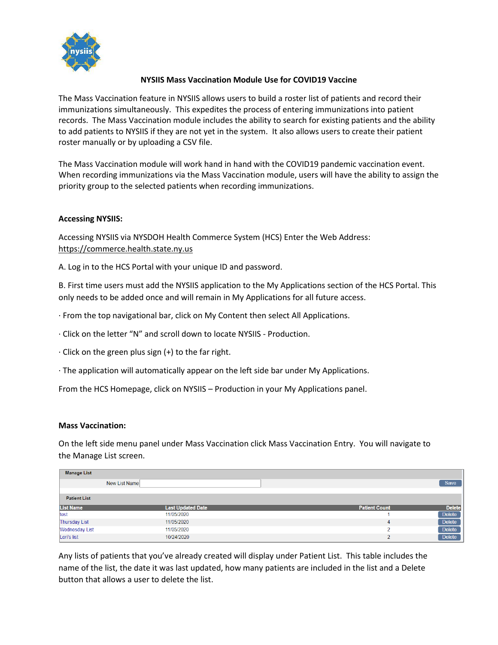

## **NYSIIS Mass Vaccination Module Use for COVID19 Vaccine**

The Mass Vaccination feature in NYSIIS allows users to build a roster list of patients and record their immunizations simultaneously. This expedites the process of entering immunizations into patient records. The Mass Vaccination module includes the ability to search for existing patients and the ability to add patients to NYSIIS if they are not yet in the system. It also allows users to create their patient roster manually or by uploading a CSV file.

The Mass Vaccination module will work hand in hand with the COVID19 pandemic vaccination event. When recording immunizations via the Mass Vaccination module, users will have the ability to assign the priority group to the selected patients when recording immunizations.

## **Accessing NYSIIS:**

Accessing NYSIIS via NYSDOH Health Commerce System (HCS) Enter the Web Address: [https://commerce.health.state.ny.us](https://commerce.health.state.ny.us/)

A. Log in to the HCS Portal with your unique ID and password.

B. First time users must add the NYSIIS application to the My Applications section of the HCS Portal. This only needs to be added once and will remain in My Applications for all future access.

· From the top navigational bar, click on My Content then select All Applications.

· Click on the letter "N" and scroll down to locate NYSIIS - Production.

 $\cdot$  Click on the green plus sign (+) to the far right.

· The application will automatically appear on the left side bar under My Applications.

From the HCS Homepage, click on NYSIIS – Production in your My Applications panel.

## **Mass Vaccination:**

On the left side menu panel under Mass Vaccination click Mass Vaccination Entry. You will navigate to the Manage List screen.

| <b>Manage List</b>    |                          |                      |               |
|-----------------------|--------------------------|----------------------|---------------|
|                       | New List Name            |                      | Save          |
| <b>Patient List</b>   |                          |                      |               |
|                       |                          |                      |               |
| <b>List Name</b>      | <b>Last Updated Date</b> | <b>Patient Count</b> | <b>Delete</b> |
| test                  | 11/05/2020               |                      | Delete        |
| <b>Thursday List</b>  | 11/05/2020               | 4                    | Delete        |
| <b>Wednesday List</b> | 11/05/2020               | n                    | <b>Delete</b> |
| Lori's list           | 10/24/2020               | ົ                    | Delete        |

Any lists of patients that you've already created will display under Patient List. This table includes the name of the list, the date it was last updated, how many patients are included in the list and a Delete button that allows a user to delete the list.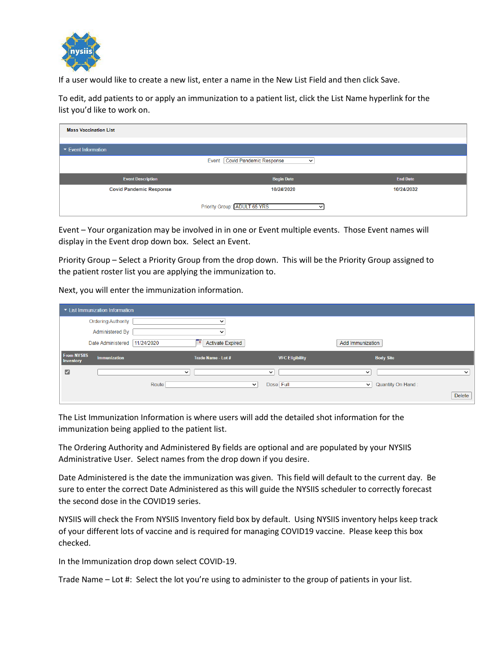

If a user would like to create a new list, enter a name in the New List Field and then click Save.

To edit, add patients to or apply an immunization to a patient list, click the List Name hyperlink for the list you'd like to work on.

| <b>Mass Vaccination List</b>      |                                                         |                 |  |  |  |
|-----------------------------------|---------------------------------------------------------|-----------------|--|--|--|
| ▼ Event Information               |                                                         |                 |  |  |  |
|                                   | <b>Covid Pandemic Response</b><br>Event<br>$\checkmark$ |                 |  |  |  |
| <b>Event Description</b>          | <b>Begin Date</b>                                       | <b>End Date</b> |  |  |  |
| <b>Covid Pandemic Response</b>    | 10/24/2020                                              | 10/24/2032      |  |  |  |
| Priority Group: ADULT 65 YRS<br>◡ |                                                         |                 |  |  |  |

Event – Your organization may be involved in in one or Event multiple events. Those Event names will display in the Event drop down box. Select an Event.

Priority Group – Select a Priority Group from the drop down. This will be the Priority Group assigned to the patient roster list you are applying the immunization to.

Next, you will enter the immunization information.

|                                        | List Immunization Information |             |                              |                          |                                  |             |
|----------------------------------------|-------------------------------|-------------|------------------------------|--------------------------|----------------------------------|-------------|
|                                        | <b>Ordering Authority</b>     |             | ◡                            |                          |                                  |             |
|                                        | Administered By               |             | $\check{ }$                  |                          |                                  |             |
|                                        | Date Administered             | 11/24/2020  | <b>Activate Expired</b><br>画 |                          | Add Immunization                 |             |
| <b>From NYSIIS</b><br><b>Inventory</b> | <b>Immunization</b>           |             | Trade Name - Lot #           | <b>VFC Eligibility</b>   | <b>Body Site</b>                 |             |
| ☑                                      |                               | $\check{ }$ |                              | $\checkmark$             | $\checkmark$                     | $\check{ }$ |
|                                        |                               | Route       |                              | Dose Full<br>$\check{~}$ | Quantity On Hand:<br>$\check{~}$ |             |
|                                        |                               |             |                              |                          |                                  | Delete      |

The List Immunization Information is where users will add the detailed shot information for the immunization being applied to the patient list.

The Ordering Authority and Administered By fields are optional and are populated by your NYSIIS Administrative User. Select names from the drop down if you desire.

Date Administered is the date the immunization was given. This field will default to the current day. Be sure to enter the correct Date Administered as this will guide the NYSIIS scheduler to correctly forecast the second dose in the COVID19 series.

NYSIIS will check the From NYSIIS Inventory field box by default. Using NYSIIS inventory helps keep track of your different lots of vaccine and is required for managing COVID19 vaccine. Please keep this box checked.

In the Immunization drop down select COVID-19.

Trade Name – Lot #: Select the lot you're using to administer to the group of patients in your list.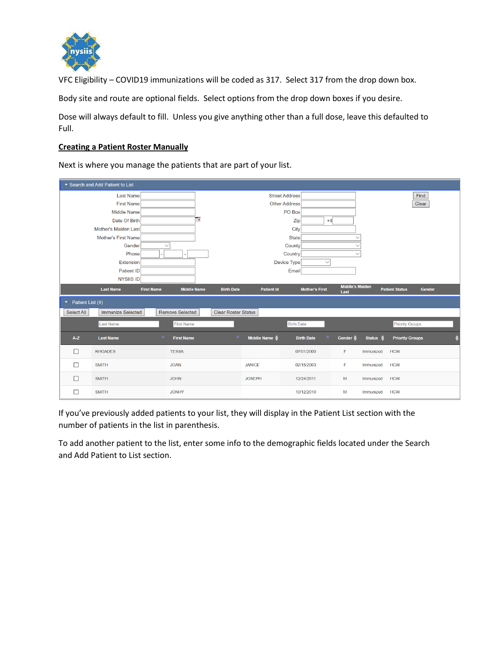

VFC Eligibility – COVID19 immunizations will be coded as 317. Select 317 from the drop down box.

Body site and route are optional fields. Select options from the drop down boxes if you desire.

Dose will always default to fill. Unless you give anything other than a full dose, leave this defaulted to Full.

#### **Creating a Patient Roster Manually**

Next is where you manage the patients that are part of your list.

|                        | ▼ Search and Add Patient to List |                   |                        |                            |                   |                       |                        |                     |                                 |  |
|------------------------|----------------------------------|-------------------|------------------------|----------------------------|-------------------|-----------------------|------------------------|---------------------|---------------------------------|--|
|                        | <b>Last Name</b>                 |                   |                        |                            |                   | <b>Street Address</b> |                        |                     | Find                            |  |
|                        | <b>First Name</b>                |                   |                        |                            |                   | <b>Other Address</b>  |                        |                     | Clear                           |  |
|                        | <b>Middle Name</b>               |                   |                        |                            |                   | PO Box                |                        |                     |                                 |  |
|                        | Date Of Birth                    |                   | ъ                      |                            |                   | Zip                   | $+4$                   |                     |                                 |  |
|                        | Mother's Maiden Last             |                   |                        |                            |                   | City                  |                        |                     |                                 |  |
|                        | <b>Mother's First Name</b>       |                   |                        |                            |                   | <b>State</b>          |                        |                     |                                 |  |
|                        | Gender                           | $\checkmark$      |                        |                            |                   | County                |                        |                     |                                 |  |
|                        | Phone                            |                   |                        |                            |                   | Country               |                        |                     |                                 |  |
|                        | Extension                        |                   |                        |                            |                   | Device Type           | $\checkmark$           |                     |                                 |  |
|                        | Patient ID                       |                   |                        |                            |                   | Email                 |                        |                     |                                 |  |
|                        | NYSIIS ID                        |                   |                        |                            |                   |                       | <b>Middle's Maiden</b> |                     |                                 |  |
|                        | <b>Last Name</b>                 | <b>First Name</b> | <b>Middle Name</b>     | <b>Birth Date</b>          | <b>Patient Id</b> | <b>Mother's First</b> | Last                   |                     | <b>Patient Status</b><br>Gender |  |
| Patient List (4)<br>▼. |                                  |                   |                        |                            |                   |                       |                        |                     |                                 |  |
| Select All             | <b>Immunize Selected</b>         |                   | <b>Remove Selected</b> | <b>Clear Roster Status</b> |                   |                       |                        |                     |                                 |  |
|                        | <b>Last Name</b>                 |                   | <b>First Name</b>      |                            |                   | <b>Birth Date</b>     |                        |                     | <b>Priority Groups</b>          |  |
| $A-Z$                  | <b>Last Name</b>                 | $\blacktriangle$  | <b>First Name</b>      | $\blacktriangle$           | Middle Name       | <b>Birth Date</b>     | Gender -               | Status $\triangleq$ | <b>Priority Groups</b>          |  |
| П                      | <b>RHOADES</b>                   |                   | <b>TESSA</b>           |                            |                   | 07/01/2000            | F                      | Immunized           | <b>HCW</b>                      |  |
|                        | <b>SMITH</b>                     |                   | <b>JOAN</b>            |                            | <b>JANICE</b>     | 02/15/2003            | F                      | Immunized           | <b>HCW</b>                      |  |
|                        | <b>SMITH</b>                     |                   | <b>JOHN</b>            |                            | <b>JOSEPH</b>     | 12/24/2011            | M                      | Immunized           | <b>HCW</b>                      |  |
|                        | <b>SMITH</b>                     |                   | <b>JONHY</b>           |                            |                   | 10/12/2010            | M                      | Immunized           | <b>HCW</b>                      |  |

If you've previously added patients to your list, they will display in the Patient List section with the number of patients in the list in parenthesis.

To add another patient to the list, enter some info to the demographic fields located under the Search and Add Patient to List section.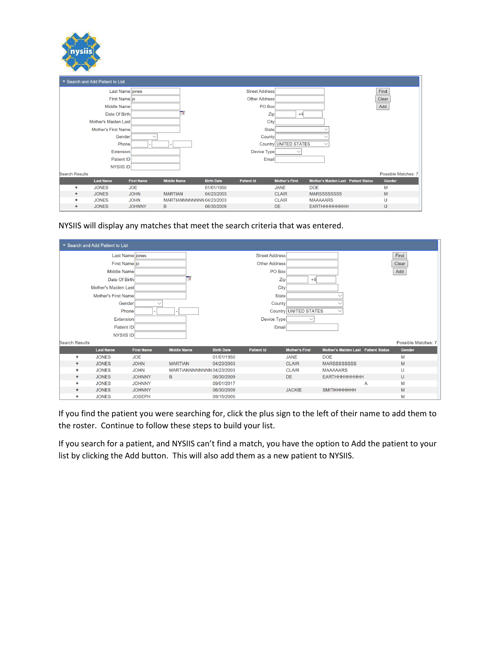| nysiis                           |
|----------------------------------|
| ▼ Search and Add Patient to List |

| ▼ Search and Add Patient to List |                      |                   |                           |                   |                       |                       |                                            |                     |
|----------------------------------|----------------------|-------------------|---------------------------|-------------------|-----------------------|-----------------------|--------------------------------------------|---------------------|
|                                  | Last Name jones      |                   |                           |                   | <b>Street Address</b> |                       |                                            | Find                |
|                                  | First Name jo        |                   |                           |                   | Other Address         |                       |                                            | Clear               |
|                                  | <b>Middle Name</b>   |                   |                           |                   | PO Box                |                       |                                            | Add                 |
|                                  | Date Of Birth        |                   | o                         |                   | Zip                   | $+4$                  |                                            |                     |
|                                  | Mother's Maiden Last |                   |                           |                   | City                  |                       |                                            |                     |
|                                  | Mother's First Name  |                   |                           |                   | <b>State</b>          |                       |                                            |                     |
|                                  | Gender               |                   |                           |                   | County                |                       |                                            |                     |
|                                  | Phone                |                   |                           |                   |                       | Country UNITED STATES |                                            |                     |
|                                  | <b>Extension</b>     |                   |                           |                   | Device Type           |                       |                                            |                     |
|                                  | Patient ID           |                   |                           |                   | Email                 |                       |                                            |                     |
|                                  | NYSIIS ID            |                   |                           |                   |                       |                       |                                            |                     |
| <b>Search Results</b>            |                      |                   |                           |                   |                       |                       |                                            | Possible Matches: 7 |
|                                  | <b>Last Name</b>     | <b>First Name</b> | <b>Middle Name</b>        | <b>Birth Date</b> | <b>Patient Id</b>     | <b>Mother's First</b> | <b>Mother's Maiden Last Patient Status</b> | Gender              |
| ٠                                | <b>JONES</b>         | <b>JOE</b>        |                           | 01/01/1950        |                       | <b>JANE</b>           | <b>DOE</b>                                 | M                   |
| $\ddot{}$                        | <b>JONES</b>         | <b>JOHN</b>       | <b>MARTIAN</b>            | 04/23/2003        |                       | <b>CLAIR</b>          | <b>MARSSSSSSSSS</b>                        | M                   |
| ٠                                | <b>JONES</b>         | <b>JOHN</b>       | MARTIANNNNNNNN 04/23/2003 |                   |                       | <b>CLAIR</b>          | <b>MAAAAARS</b>                            | U                   |
| ٠                                | <b>JONES</b>         | <b>JOHNNY</b>     | B                         | 06/30/2009        |                       | <b>DE</b>             | <b>EARTHHHHHHHHH</b>                       | U                   |

NYSIIS will display any matches that meet the search criteria that was entered.

| ▼ Search and Add Patient to List |                   |                           |                   |                       |                       |                                            |   |                     |
|----------------------------------|-------------------|---------------------------|-------------------|-----------------------|-----------------------|--------------------------------------------|---|---------------------|
| Last Name jones                  |                   |                           |                   | <b>Street Address</b> |                       |                                            |   | Find                |
| First Name jo                    |                   |                           |                   | Other Address         |                       |                                            |   | Clear               |
| <b>Middle Name</b>               |                   |                           |                   | PO Box                |                       |                                            |   | Add                 |
| Date Of Birth                    |                   | P                         |                   | Zip                   | $+4$                  |                                            |   |                     |
| Mother's Maiden Last             |                   |                           |                   | City                  |                       |                                            |   |                     |
| <b>Mother's First Name</b>       |                   |                           |                   | <b>State</b>          |                       |                                            |   |                     |
| Gender                           |                   |                           |                   | <b>County</b>         |                       |                                            |   |                     |
| Phone                            |                   |                           |                   |                       | Country UNITED STATES |                                            |   |                     |
| <b>Extension</b>                 |                   |                           |                   | Device Type           |                       |                                            |   |                     |
| Patient ID                       |                   |                           |                   | Email                 |                       |                                            |   |                     |
| NYSIIS ID                        |                   |                           |                   |                       |                       |                                            |   |                     |
| <b>Search Results</b>            |                   |                           |                   |                       |                       |                                            |   | Possible Matches: 7 |
| <b>Last Name</b>                 | <b>First Name</b> | <b>Middle Name</b>        | <b>Birth Date</b> | <b>Patient Id</b>     | <b>Mother's First</b> | <b>Mother's Maiden Last Patient Status</b> |   | Gender              |
| <b>JONES</b><br>٠                | <b>JOE</b>        |                           | 01/01/1950        |                       | <b>JANE</b>           | <b>DOE</b>                                 |   | M                   |
| <b>JONES</b><br>٠                | <b>JOHN</b>       | <b>MARTIAN</b>            | 04/23/2003        |                       | <b>CLAIR</b>          | <b>MARSSSSSSSSS</b>                        |   | M                   |
| <b>JONES</b><br>٠                | <b>JOHN</b>       | MARTIANNNNNNNN 04/23/2003 |                   |                       | <b>CLAIR</b>          | <b>MAAAAARS</b>                            |   | U                   |
| <b>JONES</b><br>÷                | <b>JOHNNY</b>     | B                         | 06/30/2009        |                       | <b>DE</b>             | <b>EARTHHHHHHHHH</b>                       |   | U                   |
| ÷<br><b>JONES</b>                | <b>JOHNNY</b>     |                           | 09/01/2017        |                       |                       |                                            | Α | M                   |
| <b>JONES</b><br>٠                | <b>JOHNNY</b>     |                           | 06/30/2009        |                       | <b>JACKIE</b>         | <b>SMITHHHHHHH</b>                         |   | M                   |
| <b>JONES</b><br>٠                | <b>JOSEPH</b>     |                           | 09/15/2005        |                       |                       |                                            |   | M                   |

If you find the patient you were searching for, click the plus sign to the left of their name to add them to the roster. Continue to follow these steps to build your list.

If you search for a patient, and NYSIIS can't find a match, you have the option to Add the patient to your list by clicking the Add button. This will also add them as a new patient to NYSIIS.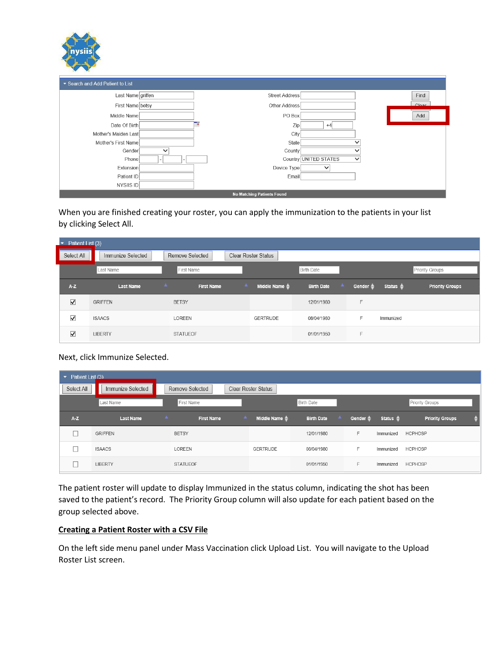| nysiis |  |
|--------|--|
|        |  |

| Search and Add Patient to List |                                       |            |  |  |  |  |  |
|--------------------------------|---------------------------------------|------------|--|--|--|--|--|
| Last Name griffen              | <b>Street Address</b>                 | Find       |  |  |  |  |  |
| First Name betsy               | Other Address                         | $C _{Q2r}$ |  |  |  |  |  |
| Middle Name                    | PO Box                                | Add        |  |  |  |  |  |
| Date Of Birth                  | Zip<br>P<br>$+4$                      |            |  |  |  |  |  |
| Mother's Maiden Last           | City                                  |            |  |  |  |  |  |
| Mother's First Name            | State                                 |            |  |  |  |  |  |
| Gender<br>$\checkmark$         | County                                |            |  |  |  |  |  |
| Phone                          | Country UNITED STATES<br>$\checkmark$ |            |  |  |  |  |  |
| Extension                      | Device Type<br>◡                      |            |  |  |  |  |  |
| Patient ID                     | Email                                 |            |  |  |  |  |  |
| NYSIIS ID                      |                                       |            |  |  |  |  |  |
|                                | <b>No Matching Patients Found</b>     |            |  |  |  |  |  |

When you are finished creating your roster, you can apply the immunization to the patients in your list by clicking Select All.

| Patient List (3)<br>▾           |                                      |                   |                               |                               |                     |                     |                        |
|---------------------------------|--------------------------------------|-------------------|-------------------------------|-------------------------------|---------------------|---------------------|------------------------|
| Select All                      | Immunize Selected                    | Remove Selected   | <b>Clear Roster Status</b>    |                               |                     |                     |                        |
|                                 | Last Name                            | First Name        |                               | <b>Birth Date</b>             |                     |                     | Priority Groups        |
| AZ                              | $\blacktriangle$<br><b>Last Name</b> | <b>First Name</b> | A<br>Middle Name $\triangleq$ | <b>A</b><br><b>Birth Date</b> | Gender $\triangleq$ | Status $\triangleq$ | <b>Priority Groups</b> |
| $\blacktriangledown$            | <b>GRIFFEN</b>                       | <b>BETSY</b>      |                               | 12/01/1980                    | F                   |                     |                        |
| $\blacktriangledown$            | <b>ISAACS</b>                        | <b>LOREEN</b>     | <b>GERTRUDE</b>               | 08/04/1980                    | F                   | Immunized           |                        |
| $\overline{\blacktriangledown}$ | <b>LIBERTY</b>                       | <b>STATUEOF</b>   |                               | 01/01/1950                    | F                   |                     |                        |

## Next, click Immunize Selected.

| ۰.         | Patient List (3)  |                                       |                            |                               |                     |                     |                        |  |  |
|------------|-------------------|---------------------------------------|----------------------------|-------------------------------|---------------------|---------------------|------------------------|--|--|
| Select All | Immunize Selected | Remove Selected                       | <b>Clear Roster Status</b> |                               |                     |                     |                        |  |  |
|            | Last Name         | First Name                            |                            | <b>Birth Date</b>             |                     |                     | Priority Groups        |  |  |
| $A-Z$      | <b>Last Name</b>  | $\blacktriangle$<br><b>First Name</b> | Middle Name $\triangleq$   | <b>A</b><br><b>Birth Date</b> | Gender $\triangleq$ | Status $\triangleq$ | <b>Priority Groups</b> |  |  |
|            | <b>GRIFFEN</b>    | <b>BETSY</b>                          |                            | 12/01/1980                    | F.                  | Immunized           | <b>HCPHOSP</b>         |  |  |
|            | <b>ISAACS</b>     | LOREEN                                | <b>GERTRUDE</b>            | 08/04/1980                    | F                   | Immunized           | <b>HCPHOSP</b>         |  |  |
|            | <b>LIBERTY</b>    | <b>STATUEOF</b>                       |                            | 01/01/1950                    | F.                  | Immunized           | <b>HCPHOSP</b>         |  |  |

The patient roster will update to display Immunized in the status column, indicating the shot has been saved to the patient's record. The Priority Group column will also update for each patient based on the group selected above.

#### **Creating a Patient Roster with a CSV File**

On the left side menu panel under Mass Vaccination click Upload List. You will navigate to the Upload Roster List screen.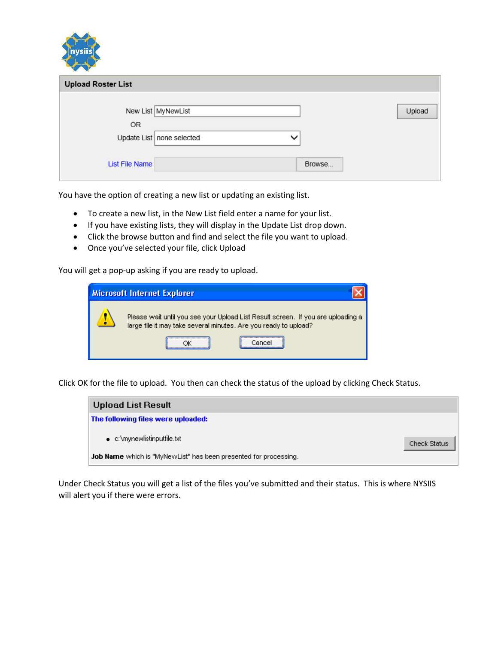| nysiis                    |                                             |        |
|---------------------------|---------------------------------------------|--------|
| <b>Upload Roster List</b> |                                             |        |
| OR.                       | New List MyNewList                          | Upload |
| <b>List File Name</b>     | Update List   none selected<br>$\checkmark$ | Browse |

You have the option of creating a new list or updating an existing list.

- To create a new list, in the New List field enter a name for your list.
- If you have existing lists, they will display in the Update List drop down.
- Click the browse button and find and select the file you want to upload.
- Once you've selected your file, click Upload

You will get a pop-up asking if you are ready to upload.

| <b>Microsoft Internet Explorer</b> |                                                                                                                                                      |  |  |  |
|------------------------------------|------------------------------------------------------------------------------------------------------------------------------------------------------|--|--|--|
|                                    | Please wait until you see your Upload List Result screen. If you are uploading a<br>large file it may take several minutes. Are you ready to upload? |  |  |  |
|                                    | Cancel                                                                                                                                               |  |  |  |

Click OK for the file to upload. You then can check the status of the upload by clicking Check Status.



Under Check Status you will get a list of the files you've submitted and their status. This is where NYSIIS will alert you if there were errors.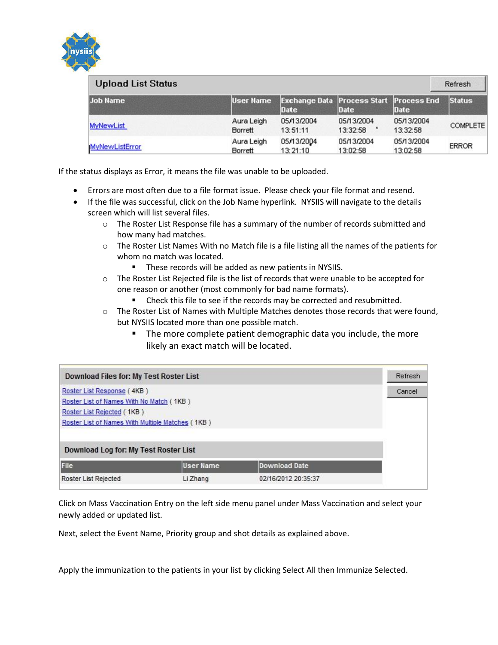

| <b>Upload List Status</b><br>Refresh |                       |                                                        |                        |                        |                 |
|--------------------------------------|-----------------------|--------------------------------------------------------|------------------------|------------------------|-----------------|
| <b>Job Name</b>                      | <b>User Name</b>      | <b>Exchange Data Process Start Process End</b><br>Date | Date                   | Date                   | <b>Status</b>   |
| <b>MyNewList</b>                     | Aura Leigh<br>Borrett | 05/13/2004<br>13:51:11                                 | 05/13/2004<br>13:32:58 | 05/13/2004<br>13:32:58 | <b>COMPLETE</b> |
| <b>MyNewListError</b>                | Aura Leigh<br>Borrett | 05/13/2004<br>13:21:10                                 | 05/13/2004<br>13:02:58 | 05/13/2004<br>13:02:58 | <b>ERROR</b>    |

If the status displays as Error, it means the file was unable to be uploaded.

- Errors are most often due to a file format issue. Please check your file format and resend.
- If the file was successful, click on the Job Name hyperlink. NYSIIS will navigate to the details screen which will list several files.
	- $\circ$  The Roster List Response file has a summary of the number of records submitted and how many had matches.
	- $\circ$  The Roster List Names With no Match file is a file listing all the names of the patients for whom no match was located.
		- **These records will be added as new patients in NYSIIS.**
	- $\circ$  The Roster List Rejected file is the list of records that were unable to be accepted for one reason or another (most commonly for bad name formats).
		- Check this file to see if the records may be corrected and resubmitted.
	- $\circ$  The Roster List of Names with Multiple Matches denotes those records that were found, but NYSIIS located more than one possible match.
		- **The more complete patient demographic data you include, the more** likely an exact match will be located.

| Download Files for: My Test Roster List                                                                                                                  |           |                     |  |  |  |  |
|----------------------------------------------------------------------------------------------------------------------------------------------------------|-----------|---------------------|--|--|--|--|
| Roster List Response (4KB)<br>Roster List of Names With No Match (1KB)<br>Roster List Rejected (1KB)<br>Roster List of Names With Multiple Matches (1KB) |           |                     |  |  |  |  |
| Download Log for: My Test Roster List                                                                                                                    |           |                     |  |  |  |  |
| File                                                                                                                                                     | User Name | Download Date       |  |  |  |  |
| Roster List Rejected                                                                                                                                     | Li Zhang  | 02/16/2012 20:35:37 |  |  |  |  |

Click on Mass Vaccination Entry on the left side menu panel under Mass Vaccination and select your newly added or updated list.

Next, select the Event Name, Priority group and shot details as explained above.

Apply the immunization to the patients in your list by clicking Select All then Immunize Selected.